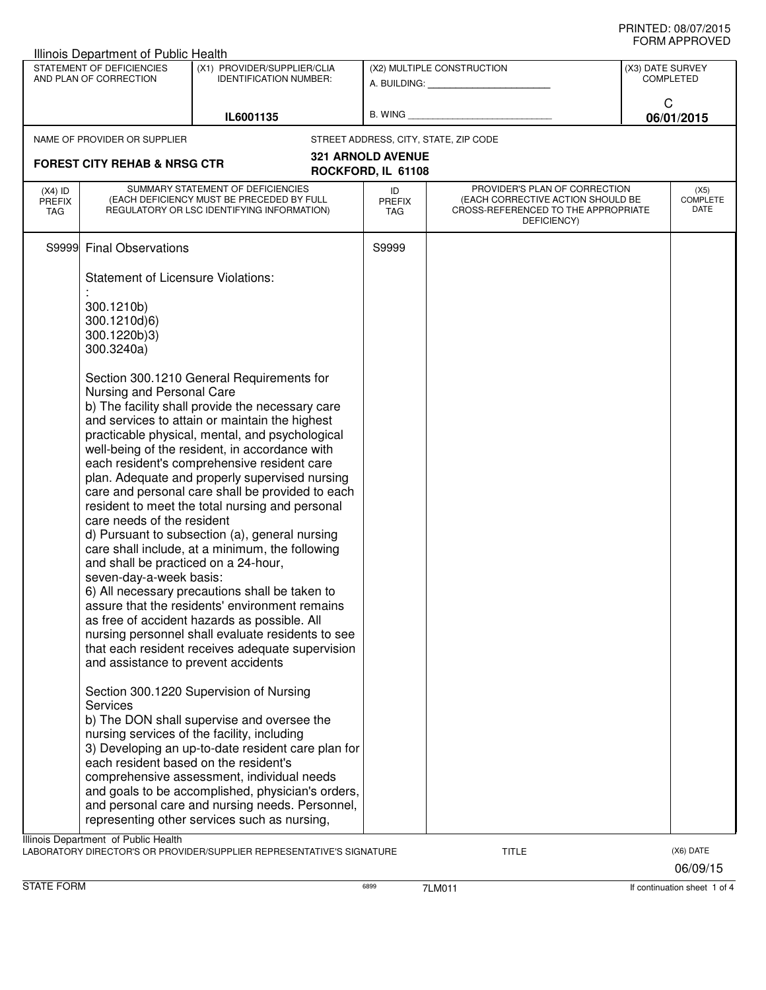| Illinois Department of Public Health                |                                                                                                                                                                                                                                                                                                                                                                                                                                                                                                                                                                                                                                                                                                                                                                                                                                                                                                                                                                                                     |                                                                                                                                                                                                                                                                                                                                                                                                  |                                                         |                                                                                                                          |                                      |                          |
|-----------------------------------------------------|-----------------------------------------------------------------------------------------------------------------------------------------------------------------------------------------------------------------------------------------------------------------------------------------------------------------------------------------------------------------------------------------------------------------------------------------------------------------------------------------------------------------------------------------------------------------------------------------------------------------------------------------------------------------------------------------------------------------------------------------------------------------------------------------------------------------------------------------------------------------------------------------------------------------------------------------------------------------------------------------------------|--------------------------------------------------------------------------------------------------------------------------------------------------------------------------------------------------------------------------------------------------------------------------------------------------------------------------------------------------------------------------------------------------|---------------------------------------------------------|--------------------------------------------------------------------------------------------------------------------------|--------------------------------------|--------------------------|
| STATEMENT OF DEFICIENCIES<br>AND PLAN OF CORRECTION |                                                                                                                                                                                                                                                                                                                                                                                                                                                                                                                                                                                                                                                                                                                                                                                                                                                                                                                                                                                                     | (X1) PROVIDER/SUPPLIER/CLIA<br><b>IDENTIFICATION NUMBER:</b>                                                                                                                                                                                                                                                                                                                                     | (X2) MULTIPLE CONSTRUCTION<br>A. BUILDING: A. BUILDING: |                                                                                                                          | (X3) DATE SURVEY<br><b>COMPLETED</b> |                          |
|                                                     |                                                                                                                                                                                                                                                                                                                                                                                                                                                                                                                                                                                                                                                                                                                                                                                                                                                                                                                                                                                                     | IL6001135                                                                                                                                                                                                                                                                                                                                                                                        |                                                         |                                                                                                                          | C                                    | 06/01/2015               |
|                                                     | NAME OF PROVIDER OR SUPPLIER                                                                                                                                                                                                                                                                                                                                                                                                                                                                                                                                                                                                                                                                                                                                                                                                                                                                                                                                                                        |                                                                                                                                                                                                                                                                                                                                                                                                  |                                                         | STREET ADDRESS, CITY, STATE, ZIP CODE                                                                                    |                                      |                          |
|                                                     | <b>FOREST CITY REHAB &amp; NRSG CTR</b>                                                                                                                                                                                                                                                                                                                                                                                                                                                                                                                                                                                                                                                                                                                                                                                                                                                                                                                                                             |                                                                                                                                                                                                                                                                                                                                                                                                  | <b>321 ARNOLD AVENUE</b><br>ROCKFORD, IL 61108          |                                                                                                                          |                                      |                          |
| $(X4)$ ID<br><b>PREFIX</b><br>TAG                   |                                                                                                                                                                                                                                                                                                                                                                                                                                                                                                                                                                                                                                                                                                                                                                                                                                                                                                                                                                                                     | SUMMARY STATEMENT OF DEFICIENCIES<br>(EACH DEFICIENCY MUST BE PRECEDED BY FULL<br>REGULATORY OR LSC IDENTIFYING INFORMATION)                                                                                                                                                                                                                                                                     | ID<br><b>PREFIX</b><br>TAG                              | PROVIDER'S PLAN OF CORRECTION<br>(EACH CORRECTIVE ACTION SHOULD BE<br>CROSS-REFERENCED TO THE APPROPRIATE<br>DEFICIENCY) |                                      | (X5)<br>COMPLETE<br>DATE |
| S9999                                               | <b>Final Observations</b>                                                                                                                                                                                                                                                                                                                                                                                                                                                                                                                                                                                                                                                                                                                                                                                                                                                                                                                                                                           |                                                                                                                                                                                                                                                                                                                                                                                                  | S9999                                                   |                                                                                                                          |                                      |                          |
|                                                     | <b>Statement of Licensure Violations:</b>                                                                                                                                                                                                                                                                                                                                                                                                                                                                                                                                                                                                                                                                                                                                                                                                                                                                                                                                                           |                                                                                                                                                                                                                                                                                                                                                                                                  |                                                         |                                                                                                                          |                                      |                          |
|                                                     | 300.1210b)<br>300.1210d)6)<br>300.1220b)3)<br>300.3240a)                                                                                                                                                                                                                                                                                                                                                                                                                                                                                                                                                                                                                                                                                                                                                                                                                                                                                                                                            |                                                                                                                                                                                                                                                                                                                                                                                                  |                                                         |                                                                                                                          |                                      |                          |
|                                                     | Section 300.1210 General Requirements for<br>Nursing and Personal Care<br>b) The facility shall provide the necessary care<br>and services to attain or maintain the highest<br>practicable physical, mental, and psychological<br>well-being of the resident, in accordance with<br>each resident's comprehensive resident care<br>plan. Adequate and properly supervised nursing<br>care and personal care shall be provided to each<br>resident to meet the total nursing and personal<br>care needs of the resident<br>d) Pursuant to subsection (a), general nursing<br>care shall include, at a minimum, the following<br>and shall be practiced on a 24-hour,<br>seven-day-a-week basis:<br>6) All necessary precautions shall be taken to<br>assure that the residents' environment remains<br>as free of accident hazards as possible. All<br>nursing personnel shall evaluate residents to see<br>that each resident receives adequate supervision<br>and assistance to prevent accidents |                                                                                                                                                                                                                                                                                                                                                                                                  |                                                         |                                                                                                                          |                                      |                          |
|                                                     | <b>Services</b><br>each resident based on the resident's                                                                                                                                                                                                                                                                                                                                                                                                                                                                                                                                                                                                                                                                                                                                                                                                                                                                                                                                            | Section 300.1220 Supervision of Nursing<br>b) The DON shall supervise and oversee the<br>nursing services of the facility, including<br>3) Developing an up-to-date resident care plan for<br>comprehensive assessment, individual needs<br>and goals to be accomplished, physician's orders,<br>and personal care and nursing needs. Personnel,<br>representing other services such as nursing, |                                                         |                                                                                                                          |                                      |                          |
|                                                     | Illinois Department of Public Health                                                                                                                                                                                                                                                                                                                                                                                                                                                                                                                                                                                                                                                                                                                                                                                                                                                                                                                                                                | LABORATORY DIRECTOR'S OR PROVIDER/SUPPLIER REPRESENTATIVE'S SIGNATURE                                                                                                                                                                                                                                                                                                                            |                                                         | <b>TITLE</b>                                                                                                             |                                      | (X6) DATE                |

06/09/15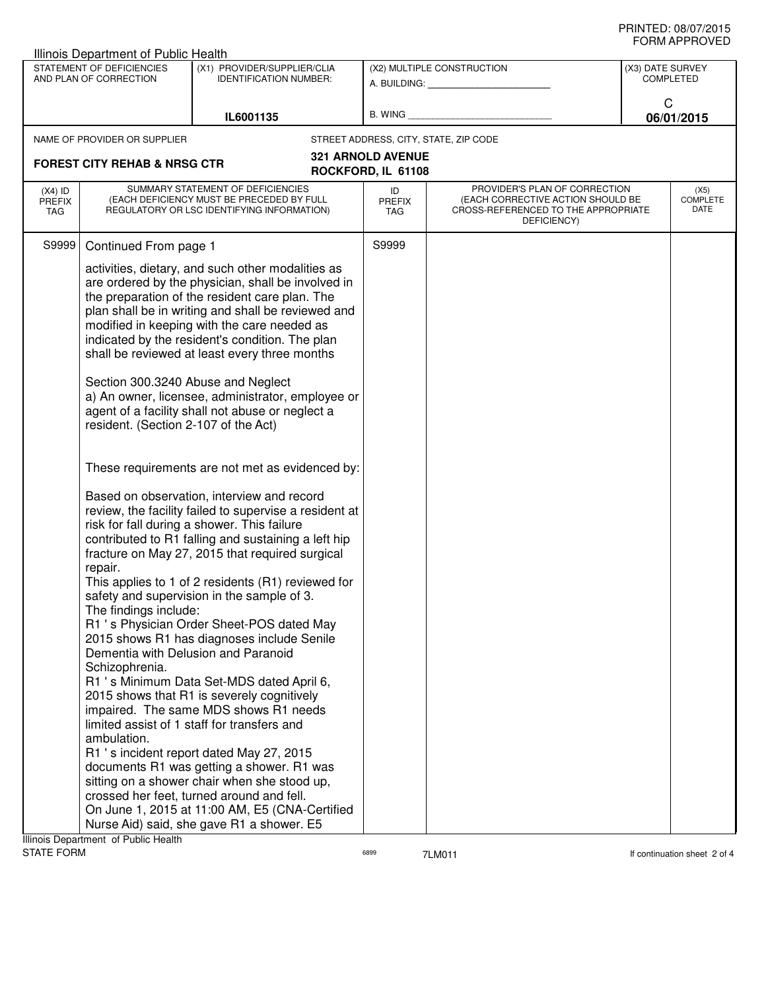| ᅴᄖᄞᇊᆝᆝᇅ៴ᄂ<br>Illinois Department of Public Health   |                                                                                                                                                  |                                                                                                                                                                                                                                                                                                                                                                                                                                                                                                                                                                                                                                                                                                                                                                                                                                                                                                                                                                                         |                                                         |                                                                                                                          |                               |                                 |
|-----------------------------------------------------|--------------------------------------------------------------------------------------------------------------------------------------------------|-----------------------------------------------------------------------------------------------------------------------------------------------------------------------------------------------------------------------------------------------------------------------------------------------------------------------------------------------------------------------------------------------------------------------------------------------------------------------------------------------------------------------------------------------------------------------------------------------------------------------------------------------------------------------------------------------------------------------------------------------------------------------------------------------------------------------------------------------------------------------------------------------------------------------------------------------------------------------------------------|---------------------------------------------------------|--------------------------------------------------------------------------------------------------------------------------|-------------------------------|---------------------------------|
| STATEMENT OF DEFICIENCIES<br>AND PLAN OF CORRECTION |                                                                                                                                                  | (X1) PROVIDER/SUPPLIER/CLIA<br><b>IDENTIFICATION NUMBER:</b>                                                                                                                                                                                                                                                                                                                                                                                                                                                                                                                                                                                                                                                                                                                                                                                                                                                                                                                            | (X2) MULTIPLE CONSTRUCTION<br>A. BUILDING: A. BUILDING: |                                                                                                                          | (X3) DATE SURVEY<br>COMPLETED |                                 |
|                                                     |                                                                                                                                                  | IL6001135                                                                                                                                                                                                                                                                                                                                                                                                                                                                                                                                                                                                                                                                                                                                                                                                                                                                                                                                                                               | B. WING                                                 |                                                                                                                          | C                             | 06/01/2015                      |
|                                                     | NAME OF PROVIDER OR SUPPLIER                                                                                                                     |                                                                                                                                                                                                                                                                                                                                                                                                                                                                                                                                                                                                                                                                                                                                                                                                                                                                                                                                                                                         |                                                         | STREET ADDRESS, CITY, STATE, ZIP CODE                                                                                    |                               |                                 |
|                                                     | <b>FOREST CITY REHAB &amp; NRSG CTR</b>                                                                                                          |                                                                                                                                                                                                                                                                                                                                                                                                                                                                                                                                                                                                                                                                                                                                                                                                                                                                                                                                                                                         | <b>321 ARNOLD AVENUE</b>                                |                                                                                                                          |                               |                                 |
|                                                     |                                                                                                                                                  |                                                                                                                                                                                                                                                                                                                                                                                                                                                                                                                                                                                                                                                                                                                                                                                                                                                                                                                                                                                         | ROCKFORD, IL 61108                                      |                                                                                                                          |                               |                                 |
| $(X4)$ ID<br><b>PREFIX</b><br>TAG                   | SUMMARY STATEMENT OF DEFICIENCIES<br>(EACH DEFICIENCY MUST BE PRECEDED BY FULL<br>REGULATORY OR LSC IDENTIFYING INFORMATION)                     |                                                                                                                                                                                                                                                                                                                                                                                                                                                                                                                                                                                                                                                                                                                                                                                                                                                                                                                                                                                         | ID<br><b>PREFIX</b><br>TAG                              | PROVIDER'S PLAN OF CORRECTION<br>(EACH CORRECTIVE ACTION SHOULD BE<br>CROSS-REFERENCED TO THE APPROPRIATE<br>DEFICIENCY) |                               | (X5)<br><b>COMPLETE</b><br>DATE |
| S9999                                               | Continued From page 1                                                                                                                            |                                                                                                                                                                                                                                                                                                                                                                                                                                                                                                                                                                                                                                                                                                                                                                                                                                                                                                                                                                                         | S9999                                                   |                                                                                                                          |                               |                                 |
|                                                     | Section 300.3240 Abuse and Neglect<br>resident. (Section 2-107 of the Act)                                                                       | activities, dietary, and such other modalities as<br>are ordered by the physician, shall be involved in<br>the preparation of the resident care plan. The<br>plan shall be in writing and shall be reviewed and<br>modified in keeping with the care needed as<br>indicated by the resident's condition. The plan<br>shall be reviewed at least every three months<br>a) An owner, licensee, administrator, employee or<br>agent of a facility shall not abuse or neglect a                                                                                                                                                                                                                                                                                                                                                                                                                                                                                                             |                                                         |                                                                                                                          |                               |                                 |
|                                                     | repair.<br>The findings include:<br>Dementia with Delusion and Paranoid<br>Schizophrenia.<br>ambulation.<br>Illinois Department of Public Health | These requirements are not met as evidenced by:<br>Based on observation, interview and record<br>review, the facility failed to supervise a resident at<br>risk for fall during a shower. This failure<br>contributed to R1 falling and sustaining a left hip<br>fracture on May 27, 2015 that required surgical<br>This applies to 1 of 2 residents (R1) reviewed for<br>safety and supervision in the sample of 3.<br>R1 's Physician Order Sheet-POS dated May<br>2015 shows R1 has diagnoses include Senile<br>R1 's Minimum Data Set-MDS dated April 6,<br>2015 shows that R1 is severely cognitively<br>impaired. The same MDS shows R1 needs<br>limited assist of 1 staff for transfers and<br>R1 's incident report dated May 27, 2015<br>documents R1 was getting a shower. R1 was<br>sitting on a shower chair when she stood up,<br>crossed her feet, turned around and fell.<br>On June 1, 2015 at 11:00 AM, E5 (CNA-Certified<br>Nurse Aid) said, she gave R1 a shower. E5 |                                                         |                                                                                                                          |                               |                                 |

STATE FORM **EXAMPLE 19 ACCOUNT CONTROLLER CONTROLLER CONTROLLER CONTROLLER STATE FORM** If continuation sheet 2 of 4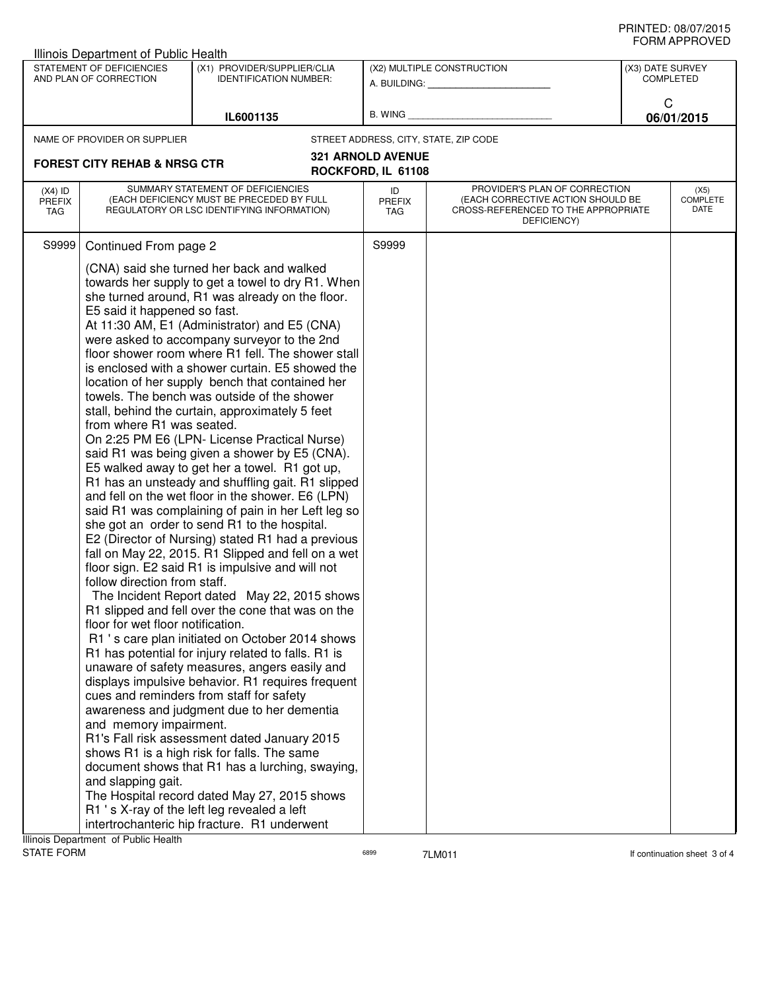| שם ערו וחשווט<br>Illinois Department of Public Health |                                                                                                                                                                                                                                                                                                                                                                                                                                                                                                                                                                                                                                                                                                                                                                                                                                                                                                                                                                                                                                                                                                                                                                                                                                                                                                                                                                                                                                                                                                                                                                                                                                                                                                                                                                                                                                                                                                                                                                                                                                                                                                                                                                                       |                                                              |                                                         |                                                                                                                          |                               |                          |
|-------------------------------------------------------|---------------------------------------------------------------------------------------------------------------------------------------------------------------------------------------------------------------------------------------------------------------------------------------------------------------------------------------------------------------------------------------------------------------------------------------------------------------------------------------------------------------------------------------------------------------------------------------------------------------------------------------------------------------------------------------------------------------------------------------------------------------------------------------------------------------------------------------------------------------------------------------------------------------------------------------------------------------------------------------------------------------------------------------------------------------------------------------------------------------------------------------------------------------------------------------------------------------------------------------------------------------------------------------------------------------------------------------------------------------------------------------------------------------------------------------------------------------------------------------------------------------------------------------------------------------------------------------------------------------------------------------------------------------------------------------------------------------------------------------------------------------------------------------------------------------------------------------------------------------------------------------------------------------------------------------------------------------------------------------------------------------------------------------------------------------------------------------------------------------------------------------------------------------------------------------|--------------------------------------------------------------|---------------------------------------------------------|--------------------------------------------------------------------------------------------------------------------------|-------------------------------|--------------------------|
| STATEMENT OF DEFICIENCIES<br>AND PLAN OF CORRECTION   |                                                                                                                                                                                                                                                                                                                                                                                                                                                                                                                                                                                                                                                                                                                                                                                                                                                                                                                                                                                                                                                                                                                                                                                                                                                                                                                                                                                                                                                                                                                                                                                                                                                                                                                                                                                                                                                                                                                                                                                                                                                                                                                                                                                       | (X1) PROVIDER/SUPPLIER/CLIA<br><b>IDENTIFICATION NUMBER:</b> | (X2) MULTIPLE CONSTRUCTION<br>A. BUILDING: A. BUILDING: |                                                                                                                          | (X3) DATE SURVEY<br>COMPLETED |                          |
|                                                       |                                                                                                                                                                                                                                                                                                                                                                                                                                                                                                                                                                                                                                                                                                                                                                                                                                                                                                                                                                                                                                                                                                                                                                                                                                                                                                                                                                                                                                                                                                                                                                                                                                                                                                                                                                                                                                                                                                                                                                                                                                                                                                                                                                                       | IL6001135                                                    | B. WING                                                 |                                                                                                                          | C                             | 06/01/2015               |
|                                                       |                                                                                                                                                                                                                                                                                                                                                                                                                                                                                                                                                                                                                                                                                                                                                                                                                                                                                                                                                                                                                                                                                                                                                                                                                                                                                                                                                                                                                                                                                                                                                                                                                                                                                                                                                                                                                                                                                                                                                                                                                                                                                                                                                                                       |                                                              |                                                         | STREET ADDRESS, CITY, STATE, ZIP CODE                                                                                    |                               |                          |
|                                                       |                                                                                                                                                                                                                                                                                                                                                                                                                                                                                                                                                                                                                                                                                                                                                                                                                                                                                                                                                                                                                                                                                                                                                                                                                                                                                                                                                                                                                                                                                                                                                                                                                                                                                                                                                                                                                                                                                                                                                                                                                                                                                                                                                                                       |                                                              | <b>321 ARNOLD AVENUE</b>                                |                                                                                                                          |                               |                          |
|                                                       |                                                                                                                                                                                                                                                                                                                                                                                                                                                                                                                                                                                                                                                                                                                                                                                                                                                                                                                                                                                                                                                                                                                                                                                                                                                                                                                                                                                                                                                                                                                                                                                                                                                                                                                                                                                                                                                                                                                                                                                                                                                                                                                                                                                       |                                                              | ROCKFORD, IL 61108                                      |                                                                                                                          |                               |                          |
| $(X4)$ ID<br><b>PREFIX</b><br>TAG                     |                                                                                                                                                                                                                                                                                                                                                                                                                                                                                                                                                                                                                                                                                                                                                                                                                                                                                                                                                                                                                                                                                                                                                                                                                                                                                                                                                                                                                                                                                                                                                                                                                                                                                                                                                                                                                                                                                                                                                                                                                                                                                                                                                                                       |                                                              | ID<br><b>PREFIX</b><br>TAG                              | PROVIDER'S PLAN OF CORRECTION<br>(EACH CORRECTIVE ACTION SHOULD BE<br>CROSS-REFERENCED TO THE APPROPRIATE<br>DEFICIENCY) |                               | (X5)<br>COMPLETE<br>DATE |
| S9999                                                 |                                                                                                                                                                                                                                                                                                                                                                                                                                                                                                                                                                                                                                                                                                                                                                                                                                                                                                                                                                                                                                                                                                                                                                                                                                                                                                                                                                                                                                                                                                                                                                                                                                                                                                                                                                                                                                                                                                                                                                                                                                                                                                                                                                                       |                                                              | S9999                                                   |                                                                                                                          |                               |                          |
| Illinois Department of Public Health                  | NAME OF PROVIDER OR SUPPLIER<br><b>FOREST CITY REHAB &amp; NRSG CTR</b><br>SUMMARY STATEMENT OF DEFICIENCIES<br>(EACH DEFICIENCY MUST BE PRECEDED BY FULL<br>REGULATORY OR LSC IDENTIFYING INFORMATION)<br>Continued From page 2<br>(CNA) said she turned her back and walked<br>towards her supply to get a towel to dry R1. When<br>she turned around, R1 was already on the floor.<br>E5 said it happened so fast.<br>At 11:30 AM, E1 (Administrator) and E5 (CNA)<br>were asked to accompany surveyor to the 2nd<br>floor shower room where R1 fell. The shower stall<br>is enclosed with a shower curtain. E5 showed the<br>location of her supply bench that contained her<br>towels. The bench was outside of the shower<br>stall, behind the curtain, approximately 5 feet<br>from where R1 was seated.<br>On 2:25 PM E6 (LPN- License Practical Nurse)<br>said R1 was being given a shower by E5 (CNA).<br>E5 walked away to get her a towel. R1 got up,<br>R1 has an unsteady and shuffling gait. R1 slipped<br>and fell on the wet floor in the shower. E6 (LPN)<br>said R1 was complaining of pain in her Left leg so<br>she got an order to send R1 to the hospital.<br>E2 (Director of Nursing) stated R1 had a previous<br>fall on May 22, 2015. R1 Slipped and fell on a wet<br>floor sign. E2 said R1 is impulsive and will not<br>follow direction from staff.<br>The Incident Report dated May 22, 2015 shows<br>R1 slipped and fell over the cone that was on the<br>floor for wet floor notification.<br>R1 's care plan initiated on October 2014 shows<br>R1 has potential for injury related to falls. R1 is<br>unaware of safety measures, angers easily and<br>displays impulsive behavior. R1 requires frequent<br>cues and reminders from staff for safety<br>awareness and judgment due to her dementia<br>and memory impairment.<br>R1's Fall risk assessment dated January 2015<br>shows R1 is a high risk for falls. The same<br>document shows that R1 has a lurching, swaying,<br>and slapping gait.<br>The Hospital record dated May 27, 2015 shows<br>R1 's X-ray of the left leg revealed a left<br>intertrochanteric hip fracture. R1 underwent |                                                              |                                                         |                                                                                                                          |                               |                          |